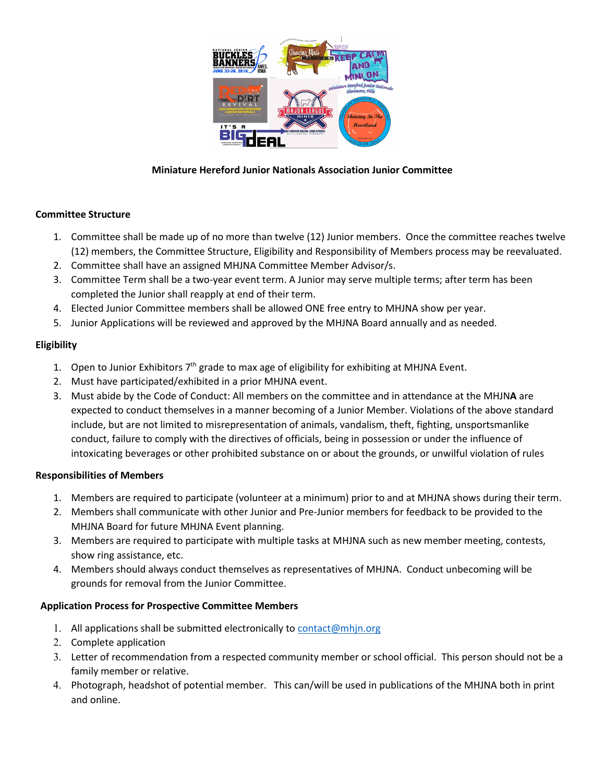

## **Miniature Hereford Junior Nationals Association Junior Committee**

## **Committee Structure**

- 1. Committee shall be made up of no more than twelve (12) Junior members. Once the committee reaches twelve (12) members, the Committee Structure, Eligibility and Responsibility of Members process may be reevaluated.
- 2. Committee shall have an assigned MHJNA Committee Member Advisor/s.
- 3. Committee Term shall be a two-year event term. A Junior may serve multiple terms; after term has been completed the Junior shall reapply at end of their term.
- 4. Elected Junior Committee members shall be allowed ONE free entry to MHJNA show per year.
- 5. Junior Applications will be reviewed and approved by the MHJNA Board annually and as needed.

## **Eligibility**

- 1. Open to Junior Exhibitors  $7<sup>th</sup>$  grade to max age of eligibility for exhibiting at MHJNA Event.
- 2. Must have participated/exhibited in a prior MHJNA event.
- 3. Must abide by the Code of Conduct: All members on the committee and in attendance at the MHJN**A** are expected to conduct themselves in a manner becoming of a Junior Member. Violations of the above standard include, but are not limited to misrepresentation of animals, vandalism, theft, fighting, unsportsmanlike conduct, failure to comply with the directives of officials, being in possession or under the influence of intoxicating beverages or other prohibited substance on or about the grounds, or unwilful violation of rules

#### **Responsibilities of Members**

- 1. Members are required to participate (volunteer at a minimum) prior to and at MHJNA shows during their term.
- 2. Members shall communicate with other Junior and Pre-Junior members for feedback to be provided to the MHJNA Board for future MHJNA Event planning.
- 3. Members are required to participate with multiple tasks at MHJNA such as new member meeting, contests, show ring assistance, etc.
- 4. Members should always conduct themselves as representatives of MHJNA. Conduct unbecoming will be grounds for removal from the Junior Committee.

## **Application Process for Prospective Committee Members**

- 1. All applications shall be submitted electronically to  $contact@min.org$
- 2. Complete application
- 3. Letter of recommendation from a respected community member or school official. This person should not be a family member or relative.
- 4. Photograph, headshot of potential member. This can/will be used in publications of the MHJNA both in print and online.